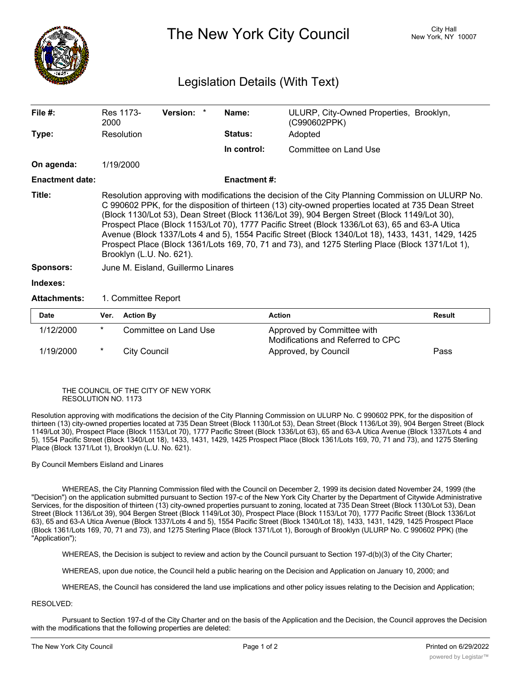

The New York City Council New York, NY 10007

## Legislation Details (With Text)

| File $#$ :             | 2000                                                                                                                                                                                                                                                                                                                                                                                                                                                                                                                                                                                                                                            | Res 1173-           | Version: *            |  | Name:               | ULURP, City-Owned Properties, Brooklyn,<br>(C990602PPK) |               |  |
|------------------------|-------------------------------------------------------------------------------------------------------------------------------------------------------------------------------------------------------------------------------------------------------------------------------------------------------------------------------------------------------------------------------------------------------------------------------------------------------------------------------------------------------------------------------------------------------------------------------------------------------------------------------------------------|---------------------|-----------------------|--|---------------------|---------------------------------------------------------|---------------|--|
| Type:                  |                                                                                                                                                                                                                                                                                                                                                                                                                                                                                                                                                                                                                                                 | Resolution          |                       |  | <b>Status:</b>      | Adopted                                                 |               |  |
|                        |                                                                                                                                                                                                                                                                                                                                                                                                                                                                                                                                                                                                                                                 |                     |                       |  | In control:         | Committee on Land Use                                   |               |  |
| On agenda:             |                                                                                                                                                                                                                                                                                                                                                                                                                                                                                                                                                                                                                                                 | 1/19/2000           |                       |  |                     |                                                         |               |  |
| <b>Enactment date:</b> |                                                                                                                                                                                                                                                                                                                                                                                                                                                                                                                                                                                                                                                 |                     |                       |  | <b>Enactment #:</b> |                                                         |               |  |
| Title:                 | Resolution approving with modifications the decision of the City Planning Commission on ULURP No.<br>C 990602 PPK, for the disposition of thirteen (13) city-owned properties located at 735 Dean Street<br>(Block 1130/Lot 53), Dean Street (Block 1136/Lot 39), 904 Bergen Street (Block 1149/Lot 30),<br>Prospect Place (Block 1153/Lot 70), 1777 Pacific Street (Block 1336/Lot 63), 65 and 63-A Utica<br>Avenue (Block 1337/Lots 4 and 5), 1554 Pacific Street (Block 1340/Lot 18), 1433, 1431, 1429, 1425<br>Prospect Place (Block 1361/Lots 169, 70, 71 and 73), and 1275 Sterling Place (Block 1371/Lot 1),<br>Brooklyn (L.U. No. 621). |                     |                       |  |                     |                                                         |               |  |
| <b>Sponsors:</b>       | June M. Eisland, Guillermo Linares                                                                                                                                                                                                                                                                                                                                                                                                                                                                                                                                                                                                              |                     |                       |  |                     |                                                         |               |  |
| Indexes:               |                                                                                                                                                                                                                                                                                                                                                                                                                                                                                                                                                                                                                                                 |                     |                       |  |                     |                                                         |               |  |
| <b>Attachments:</b>    |                                                                                                                                                                                                                                                                                                                                                                                                                                                                                                                                                                                                                                                 | 1. Committee Report |                       |  |                     |                                                         |               |  |
| <b>Date</b>            | Ver.                                                                                                                                                                                                                                                                                                                                                                                                                                                                                                                                                                                                                                            | <b>Action By</b>    |                       |  | <b>Action</b>       |                                                         | <b>Result</b> |  |
| 1/12/2000              | $^\star$                                                                                                                                                                                                                                                                                                                                                                                                                                                                                                                                                                                                                                        |                     | Committee on Land Use |  |                     | Approved by Committee with                              |               |  |

| Dale      | <b>VEI. ACLIVII DV</b> | ACUOIL                                                          | resuit |
|-----------|------------------------|-----------------------------------------------------------------|--------|
| 1/12/2000 | Committee on Land Use  | Approved by Committee with<br>Modifications and Referred to CPC |        |
| 1/19/2000 | City Council           | Approved, by Council                                            | Pass   |

## THE COUNCIL OF THE CITY OF NEW YORK RESOLUTION NO. 1173

Resolution approving with modifications the decision of the City Planning Commission on ULURP No. C 990602 PPK, for the disposition of thirteen (13) city-owned properties located at 735 Dean Street (Block 1130/Lot 53), Dean Street (Block 1136/Lot 39), 904 Bergen Street (Block 1149/Lot 30), Prospect Place (Block 1153/Lot 70), 1777 Pacific Street (Block 1336/Lot 63), 65 and 63-A Utica Avenue (Block 1337/Lots 4 and 5), 1554 Pacific Street (Block 1340/Lot 18), 1433, 1431, 1429, 1425 Prospect Place (Block 1361/Lots 169, 70, 71 and 73), and 1275 Sterling Place (Block 1371/Lot 1), Brooklyn (L.U. No. 621).

## By Council Members Eisland and Linares

WHEREAS, the City Planning Commission filed with the Council on December 2, 1999 its decision dated November 24, 1999 (the "Decision") on the application submitted pursuant to Section 197-c of the New York City Charter by the Department of Citywide Administrative Services, for the disposition of thirteen (13) city-owned properties pursuant to zoning, located at 735 Dean Street (Block 1130/Lot 53), Dean Street (Block 1136/Lot 39), 904 Bergen Street (Block 1149/Lot 30), Prospect Place (Block 1153/Lot 70), 1777 Pacific Street (Block 1336/Lot 63), 65 and 63-A Utica Avenue (Block 1337/Lots 4 and 5), 1554 Pacific Street (Block 1340/Lot 18), 1433, 1431, 1429, 1425 Prospect Place (Block 1361/Lots 169, 70, 71 and 73), and 1275 Sterling Place (Block 1371/Lot 1), Borough of Brooklyn (ULURP No. C 990602 PPK) (the "Application");

WHEREAS, the Decision is subject to review and action by the Council pursuant to Section 197-d(b)(3) of the City Charter;

WHEREAS, upon due notice, the Council held a public hearing on the Decision and Application on January 10, 2000; and

WHEREAS, the Council has considered the land use implications and other policy issues relating to the Decision and Application;

## RESOLVED:

Pursuant to Section 197-d of the City Charter and on the basis of the Application and the Decision, the Council approves the Decision with the modifications that the following properties are deleted: